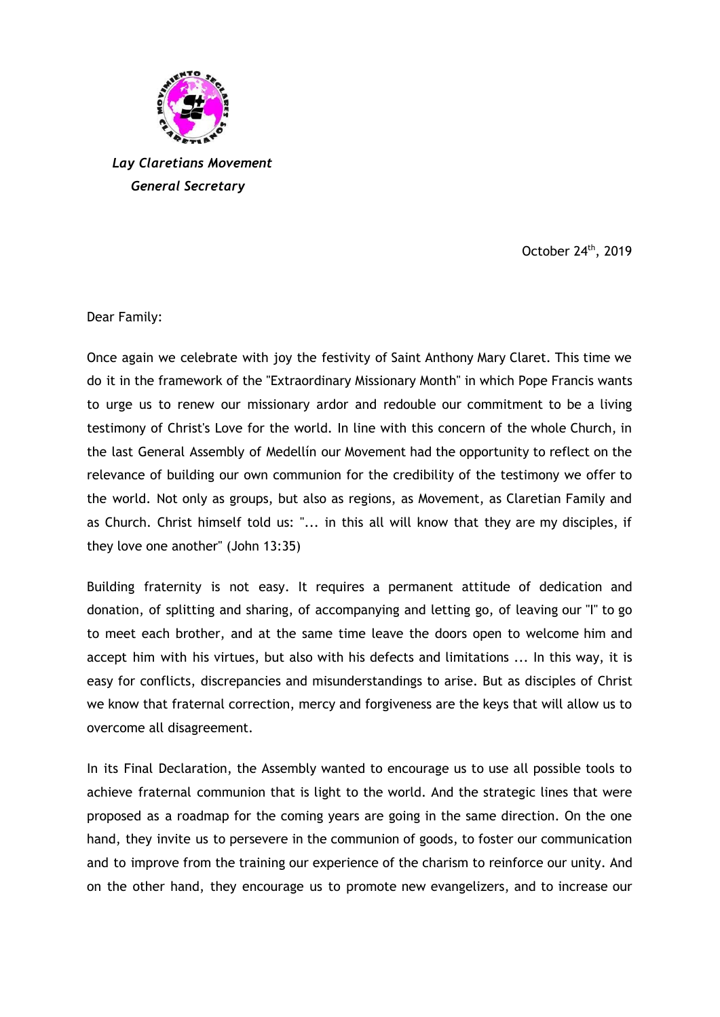

*Lay Claretians Movement General Secretary*

October 24<sup>th</sup>, 2019

Dear Family:

Once again we celebrate with joy the festivity of Saint Anthony Mary Claret. This time we do it in the framework of the "Extraordinary Missionary Month" in which Pope Francis wants to urge us to renew our missionary ardor and redouble our commitment to be a living testimony of Christ's Love for the world. In line with this concern of the whole Church, in the last General Assembly of Medellín our Movement had the opportunity to reflect on the relevance of building our own communion for the credibility of the testimony we offer to the world. Not only as groups, but also as regions, as Movement, as Claretian Family and as Church. Christ himself told us: "... in this all will know that they are my disciples, if they love one another" (John 13:35)

Building fraternity is not easy. It requires a permanent attitude of dedication and donation, of splitting and sharing, of accompanying and letting go, of leaving our "I" to go to meet each brother, and at the same time leave the doors open to welcome him and accept him with his virtues, but also with his defects and limitations ... In this way, it is easy for conflicts, discrepancies and misunderstandings to arise. But as disciples of Christ we know that fraternal correction, mercy and forgiveness are the keys that will allow us to overcome all disagreement.

In its Final Declaration, the Assembly wanted to encourage us to use all possible tools to achieve fraternal communion that is light to the world. And the strategic lines that were proposed as a roadmap for the coming years are going in the same direction. On the one hand, they invite us to persevere in the communion of goods, to foster our communication and to improve from the training our experience of the charism to reinforce our unity. And on the other hand, they encourage us to promote new evangelizers, and to increase our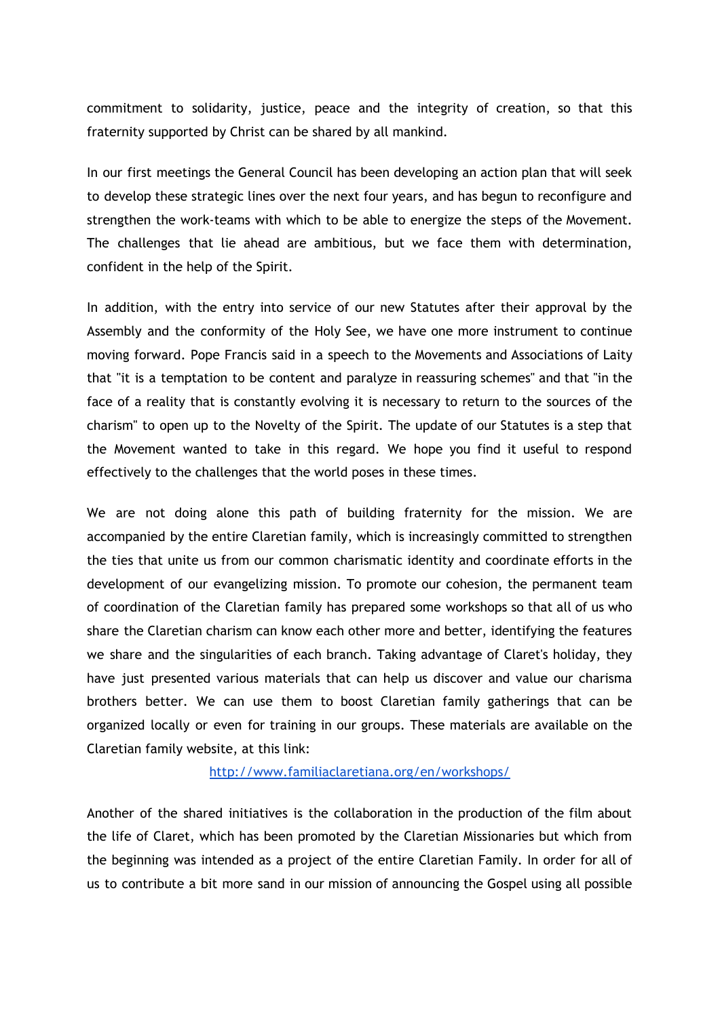commitment to solidarity, justice, peace and the integrity of creation, so that this fraternity supported by Christ can be shared by all mankind.

In our first meetings the General Council has been developing an action plan that will seek to develop these strategic lines over the next four years, and has begun to reconfigure and strengthen the work-teams with which to be able to energize the steps of the Movement. The challenges that lie ahead are ambitious, but we face them with determination, confident in the help of the Spirit.

In addition, with the entry into service of our new Statutes after their approval by the Assembly and the conformity of the Holy See, we have one more instrument to continue moving forward. Pope Francis said in a speech to the Movements and Associations of Laity that "it is a temptation to be content and paralyze in reassuring schemes" and that "in the face of a reality that is constantly evolving it is necessary to return to the sources of the charism" to open up to the Novelty of the Spirit. The update of our Statutes is a step that the Movement wanted to take in this regard. We hope you find it useful to respond effectively to the challenges that the world poses in these times.

We are not doing alone this path of building fraternity for the mission. We are accompanied by the entire Claretian family, which is increasingly committed to strengthen the ties that unite us from our common charismatic identity and coordinate efforts in the development of our evangelizing mission. To promote our cohesion, the permanent team of coordination of the Claretian family has prepared some workshops so that all of us who share the Claretian charism can know each other more and better, identifying the features we share and the singularities of each branch. Taking advantage of Claret's holiday, they have just presented various materials that can help us discover and value our charisma brothers better. We can use them to boost Claretian family gatherings that can be organized locally or even for training in our groups. These materials are available on the Claretian family website, at this link:

## <http://www.familiaclaretiana.org/en/workshops/>

Another of the shared initiatives is the collaboration in the production of the film about the life of Claret, which has been promoted by the Claretian Missionaries but which from the beginning was intended as a project of the entire Claretian Family. In order for all of us to contribute a bit more sand in our mission of announcing the Gospel using all possible